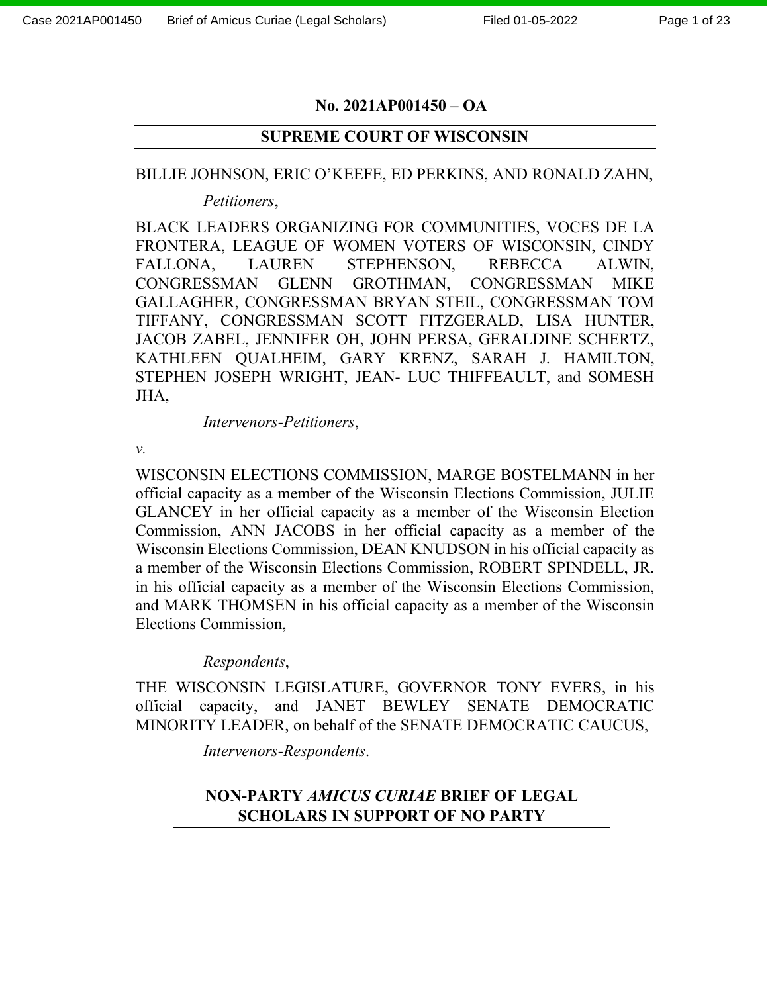### **No. 2021AP001450 – OA**

### **SUPREME COURT OF WISCONSIN**

### BILLIE JOHNSON, ERIC O'KEEFE, ED PERKINS, AND RONALD ZAHN,

*Petitioners*,

BLACK LEADERS ORGANIZING FOR COMMUNITIES, VOCES DE LA FRONTERA, LEAGUE OF WOMEN VOTERS OF WISCONSIN, CINDY FALLONA, LAUREN STEPHENSON, REBECCA ALWIN, CONGRESSMAN GLENN GROTHMAN, CONGRESSMAN MIKE GALLAGHER, CONGRESSMAN BRYAN STEIL, CONGRESSMAN TOM TIFFANY, CONGRESSMAN SCOTT FITZGERALD, LISA HUNTER, JACOB ZABEL, JENNIFER OH, JOHN PERSA, GERALDINE SCHERTZ, KATHLEEN QUALHEIM, GARY KRENZ, SARAH J. HAMILTON, STEPHEN JOSEPH WRIGHT, JEAN- LUC THIFFEAULT, and SOMESH JHA,

*Intervenors-Petitioners*,

*v.*

WISCONSIN ELECTIONS COMMISSION, MARGE BOSTELMANN in her official capacity as a member of the Wisconsin Elections Commission, JULIE GLANCEY in her official capacity as a member of the Wisconsin Election Commission, ANN JACOBS in her official capacity as a member of the Wisconsin Elections Commission, DEAN KNUDSON in his official capacity as a member of the Wisconsin Elections Commission, ROBERT SPINDELL, JR. in his official capacity as a member of the Wisconsin Elections Commission, and MARK THOMSEN in his official capacity as a member of the Wisconsin Elections Commission,

#### *Respondents*,

THE WISCONSIN LEGISLATURE, GOVERNOR TONY EVERS, in his official capacity, and JANET BEWLEY SENATE DEMOCRATIC MINORITY LEADER, on behalf of the SENATE DEMOCRATIC CAUCUS,

*Intervenors-Respondents*.

# **NON-PARTY** *AMICUS CURIAE* **BRIEF OF LEGAL SCHOLARS IN SUPPORT OF NO PARTY**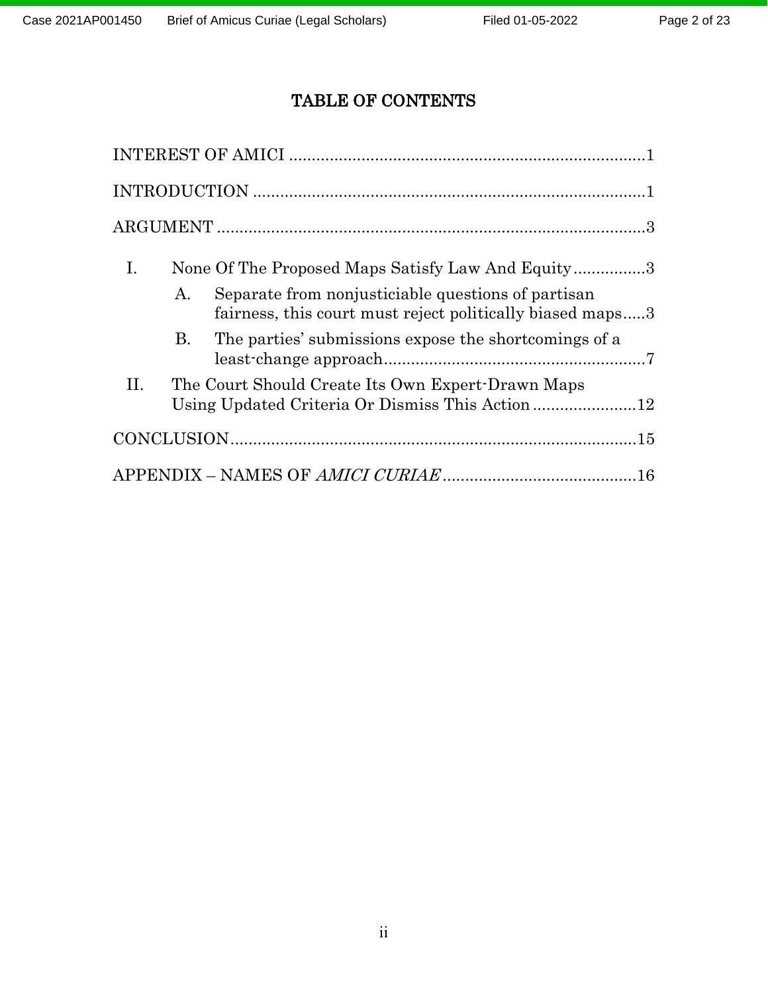# TABLE OF CONTENTS

| Ι. |    | None Of The Proposed Maps Satisfy Law And Equity3                                                               |  |
|----|----|-----------------------------------------------------------------------------------------------------------------|--|
|    | А. | Separate from nonjusticiable questions of partisan<br>fairness, this court must reject politically biased maps3 |  |
|    | В. | The parties' submissions expose the shortcomings of a                                                           |  |
| H. |    | The Court Should Create Its Own Expert-Drawn Maps<br>Using Updated Criteria Or Dismiss This Action12            |  |
|    |    | $CONCLUSION. \dots 15$                                                                                          |  |
|    |    |                                                                                                                 |  |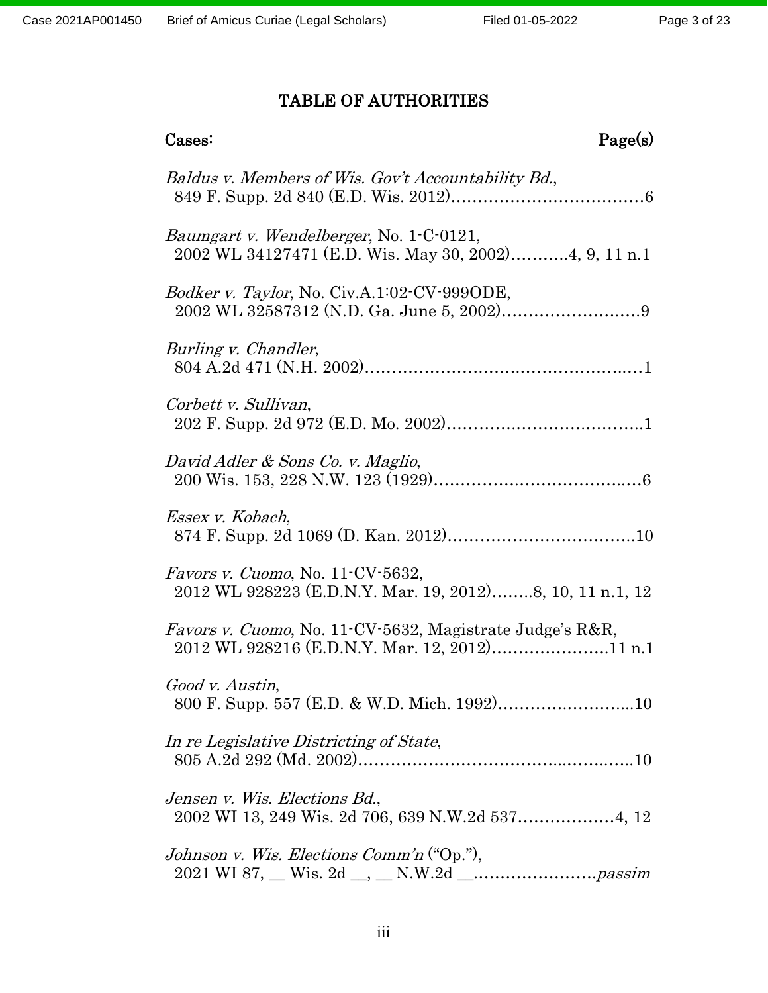# TABLE OF AUTHORITIES

| Page(s)<br>Cases:                                                                                                              |
|--------------------------------------------------------------------------------------------------------------------------------|
| Baldus v. Members of Wis. Gov't Accountability Bd.,                                                                            |
| <i>Baumgart v. Wendelberger, No.</i> 1-C-0121,<br>2002 WL 34127471 (E.D. Wis. May 30, 2002)4, 9, 11 n.1                        |
| <i>Bodker v. Taylor</i> , No. Civ.A.1:02-CV-999ODE,                                                                            |
| Burling v. Chandler,                                                                                                           |
| Corbett v. Sullivan,                                                                                                           |
| David Adler & Sons Co. v. Maglio,                                                                                              |
| Essex v. Kobach,                                                                                                               |
| Favors v. Cuomo, No. 11-CV-5632,<br>2012 WL 928223 (E.D.N.Y. Mar. 19, 2012)8, 10, 11 n.1, 12                                   |
| <i>Favors v. Cuomo</i> , No. 11 <sup>-</sup> CV-5632, Magistrate Judge's R&R,<br>2012 WL 928216 (E.D.N.Y. Mar. 12, 2012)11 n.1 |
| Good v. Austin,                                                                                                                |
| In re Legislative Districting of State,                                                                                        |
| Jensen v. Wis. Elections Bd.,                                                                                                  |
| Johnson v. Wis. Elections Comm'n ("Op."),                                                                                      |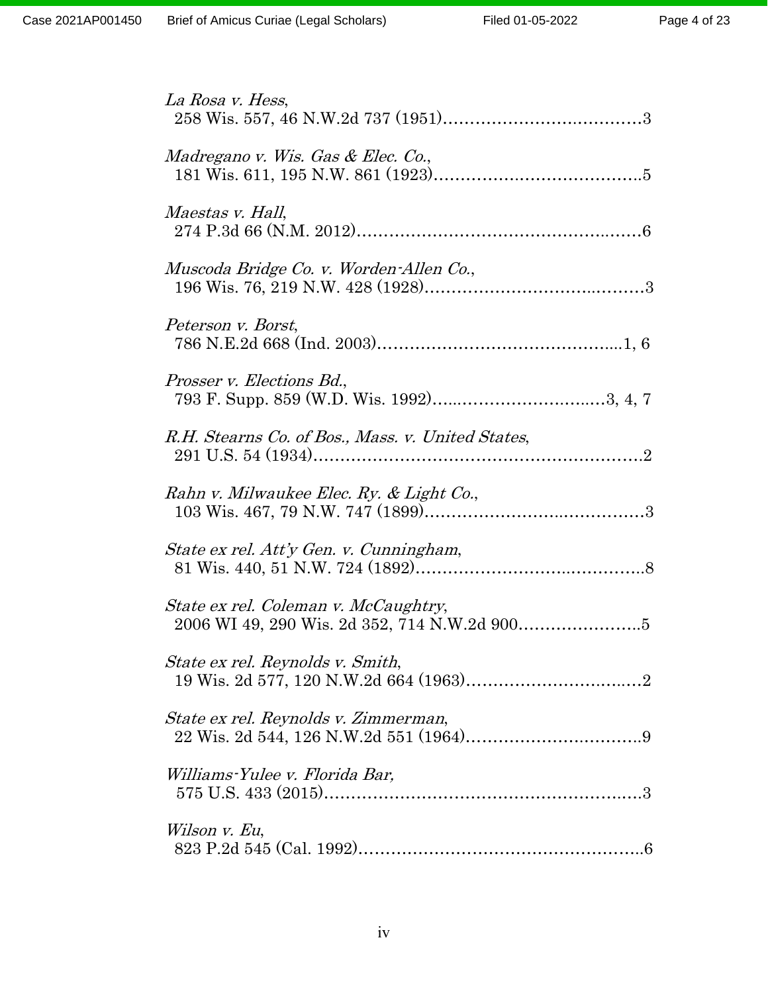| La Rosa v. Hess,                                  |
|---------------------------------------------------|
| Madregano v. Wis. Gas & Elec. Co.,                |
| <i>Maestas v. Hall,</i>                           |
| Muscoda Bridge Co. v. Worden-Allen Co.,           |
| Peterson v. Borst,                                |
| Prosser v. Elections Bd.,                         |
| R.H. Stearns Co. of Bos., Mass. v. United States, |
| Rahn v. Milwaukee Elec. Ry. & Light Co.,          |
| State ex rel. Att'y Gen. v. Cunningham,           |
| State ex rel. Coleman v. McCaughtry,              |
| State ex rel. Reynolds v. Smith,                  |
| State ex rel. Reynolds v. Zimmerman,              |
| Williams-Yulee v. Florida Bar,                    |
| Wilson v. Eu,                                     |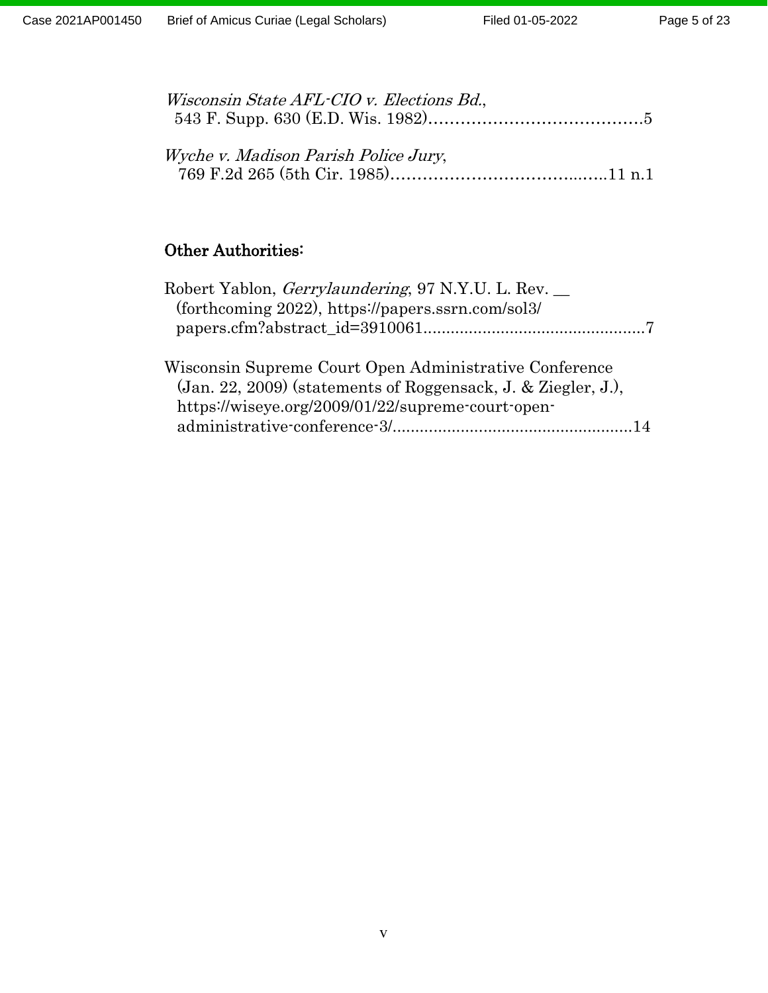| Wisconsin State AFL-CIO v. Elections Bd., |  |
|-------------------------------------------|--|
|                                           |  |
|                                           |  |
| Wyche v. Madison Parish Police Jury,      |  |
|                                           |  |

# Other Authorities:

| Robert Yablon, <i>Gerrylaundering</i> , 97 N.Y.U. L. Rev.<br>(forthcoming 2022), https://papers.ssrn.com/sol3/          |
|-------------------------------------------------------------------------------------------------------------------------|
| Wisconsin Supreme Court Open Administrative Conference<br>(Jan. 22, 2009) (statements of Roggensack, J. & Ziegler, J.), |
| https://wiseye.org/2009/01/22/supreme-court-open-                                                                       |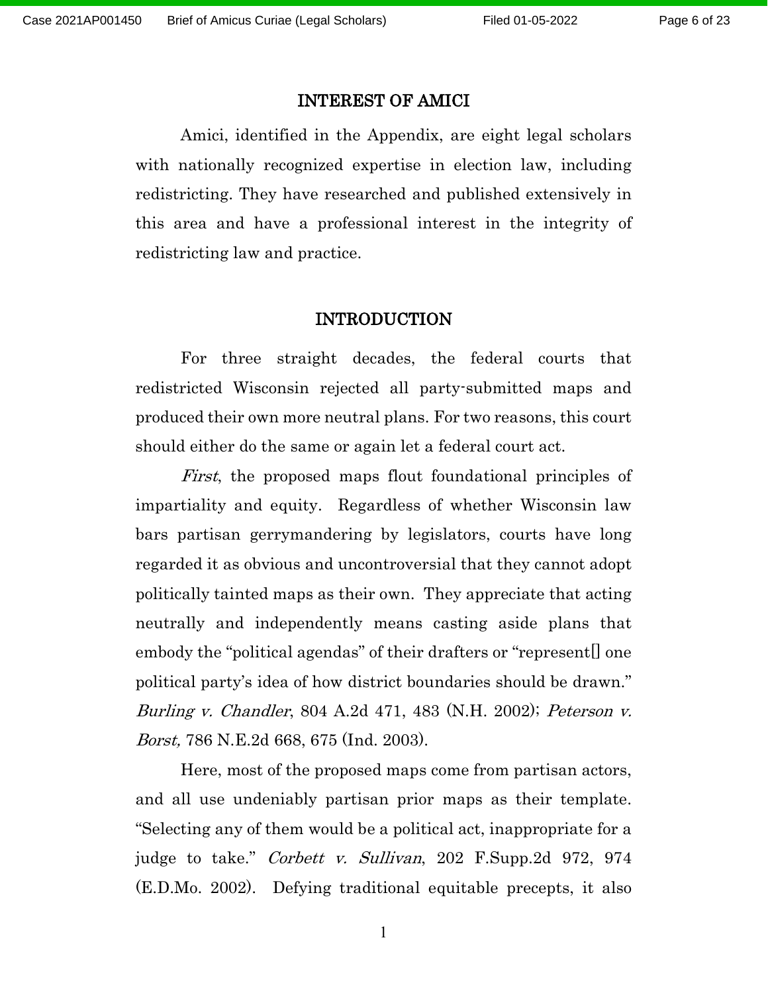#### INTEREST OF AMICI

Amici, identified in the Appendix, are eight legal scholars with nationally recognized expertise in election law, including redistricting. They have researched and published extensively in this area and have a professional interest in the integrity of redistricting law and practice.

#### INTRODUCTION

For three straight decades, the federal courts that redistricted Wisconsin rejected all party-submitted maps and produced their own more neutral plans. For two reasons, this court should either do the same or again let a federal court act.

First, the proposed maps flout foundational principles of impartiality and equity. Regardless of whether Wisconsin law bars partisan gerrymandering by legislators, courts have long regarded it as obvious and uncontroversial that they cannot adopt politically tainted maps as their own. They appreciate that acting neutrally and independently means casting aside plans that embody the "political agendas" of their drafters or "represent. one political party's idea of how district boundaries should be drawn." Burling v. Chandler, 804 A.2d 471, 483 (N.H. 2002); Peterson v. Borst, 786 N.E.2d 668, 675 (Ind. 2003).

Here, most of the proposed maps come from partisan actors, and all use undeniably partisan prior maps as their template. "Selecting any of them would be a political act, inappropriate for a judge to take." *Corbett v. Sullivan*, 202 F.Supp.2d 972, 974 (E.D.Mo. 2002). Defying traditional equitable precepts, it also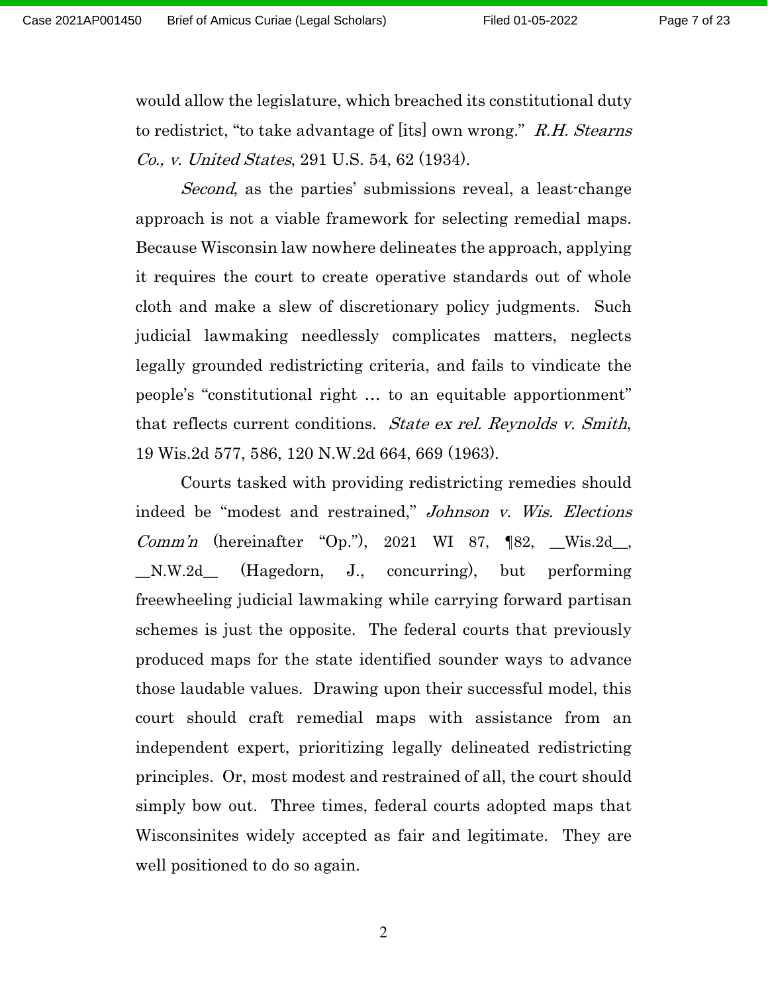would allow the legislature, which breached its constitutional duty to redistrict, "to take advantage of [its] own wrong." R.H. Stearns Co., v. United States, 291 U.S. 54, 62 (1934).

Second, as the parties' submissions reveal, a least-change approach is not a viable framework for selecting remedial maps. Because Wisconsin law nowhere delineates the approach, applying it requires the court to create operative standards out of whole cloth and make a slew of discretionary policy judgments. Such judicial lawmaking needlessly complicates matters, neglects legally grounded redistricting criteria, and fails to vindicate the people's "constitutional right … to an equitable apportionment" that reflects current conditions. State ex rel. Reynolds v. Smith, 19 Wis.2d 577, 586, 120 N.W.2d 664, 669 (1963).

Courts tasked with providing redistricting remedies should indeed be "modest and restrained," Johnson v. Wis. Elections *Comm'n* (hereinafter "Op."), 2021 WI 87,  $[82, \_\_Wis.2d\_,$ \_\_N.W.2d\_\_ (Hagedorn, J., concurring), but performing freewheeling judicial lawmaking while carrying forward partisan schemes is just the opposite. The federal courts that previously produced maps for the state identified sounder ways to advance those laudable values. Drawing upon their successful model, this court should craft remedial maps with assistance from an independent expert, prioritizing legally delineated redistricting principles. Or, most modest and restrained of all, the court should simply bow out. Three times, federal courts adopted maps that Wisconsinites widely accepted as fair and legitimate. They are well positioned to do so again.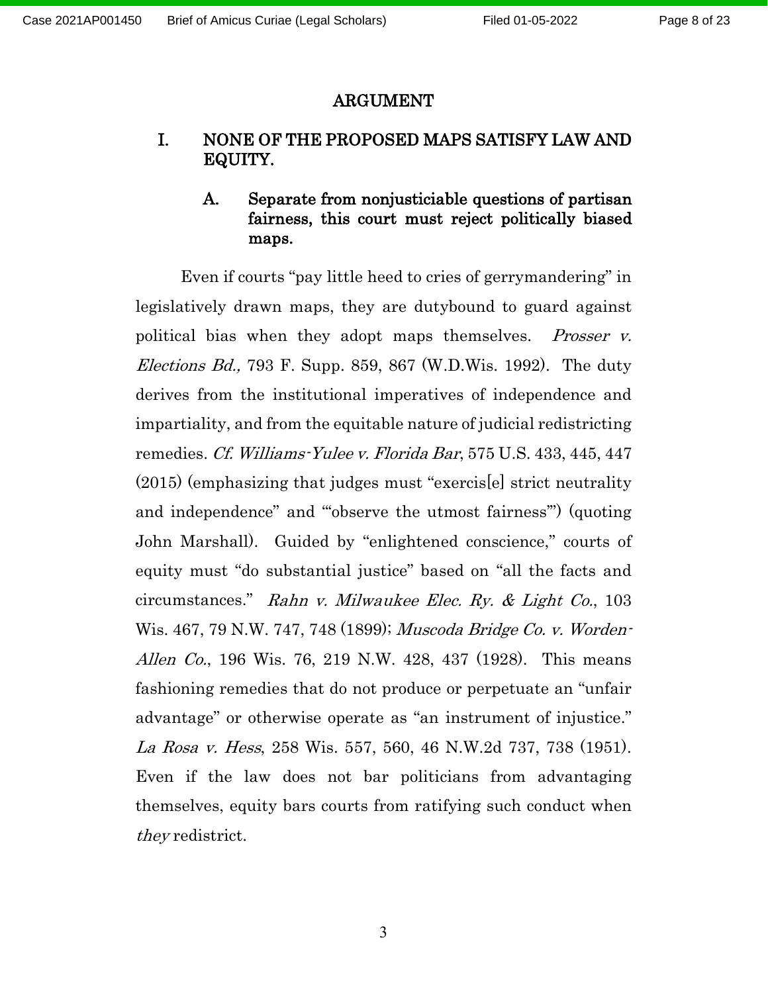#### ARGUMENT

# I. NONE OF THE PROPOSED MAPS SATISFY LAW AND EQUITY.

# A. Separate from nonjusticiable questions of partisan fairness, this court must reject politically biased maps.

Even if courts "pay little heed to cries of gerrymandering" in legislatively drawn maps, they are dutybound to guard against political bias when they adopt maps themselves. *Prosser v. Elections Bd.*, 793 F. Supp. 859, 867 (W.D.Wis. 1992). The duty derives from the institutional imperatives of independence and impartiality, and from the equitable nature of judicial redistricting remedies. Cf. Williams-Yulee v. Florida Bar, 575 U.S. 433, 445, 447 (2015) (emphasizing that judges must "exercis[e] strict neutrality and independence" and "'observe the utmost fairness'") (quoting John Marshall). Guided by "enlightened conscience," courts of equity must "do substantial justice" based on "all the facts and circumstances." Rahn v. Milwaukee Elec. Ry. & Light Co., 103 Wis. 467, 79 N.W. 747, 748 (1899); Muscoda Bridge Co. v. Worden-Allen Co., 196 Wis. 76, 219 N.W. 428, 437 (1928). This means fashioning remedies that do not produce or perpetuate an "unfair advantage" or otherwise operate as "an instrument of injustice." La Rosa v. Hess, 258 Wis. 557, 560, 46 N.W.2d 737, 738 (1951). Even if the law does not bar politicians from advantaging themselves, equity bars courts from ratifying such conduct when they redistrict.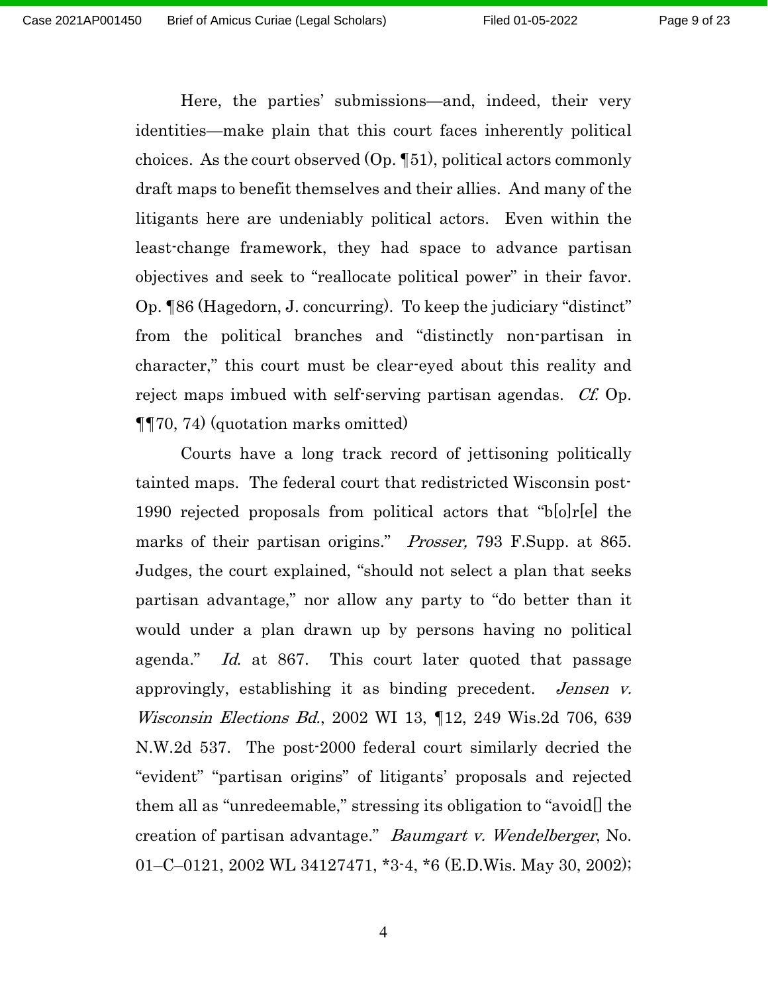Here, the parties' submissions—and, indeed, their very identities—make plain that this court faces inherently political choices. As the court observed  $(Op. \P51)$ , political actors commonly draft maps to benefit themselves and their allies. And many of the litigants here are undeniably political actors. Even within the least-change framework, they had space to advance partisan objectives and seek to "reallocate political power" in their favor. Op. ¶86 (Hagedorn, J. concurring). To keep the judiciary "distinct" from the political branches and "distinctly non-partisan in character," this court must be clear-eyed about this reality and reject maps imbued with self-serving partisan agendas. *Cf.* Op. ¶¶70, 74) (quotation marks omitted)

Courts have a long track record of jettisoning politically tainted maps. The federal court that redistricted Wisconsin post-1990 rejected proposals from political actors that "b[o]r[e] the marks of their partisan origins." *Prosser*, 793 F.Supp. at 865. Judges, the court explained, "should not select a plan that seeks partisan advantage," nor allow any party to "do better than it would under a plan drawn up by persons having no political agenda." Id. at 867. This court later quoted that passage approvingly, establishing it as binding precedent. *Jensen v.* Wisconsin Elections Bd., 2002 WI 13, ¶12, 249 Wis.2d 706, 639 N.W.2d 537. The post-2000 federal court similarly decried the "evident" "partisan origins" of litigants' proposals and rejected them all as "unredeemable," stressing its obligation to "avoid[] the creation of partisan advantage." Baumgart v. Wendelberger, No. 01–C–0121, 2002 WL 34127471, \*3-4, \*6 (E.D.Wis. May 30, 2002);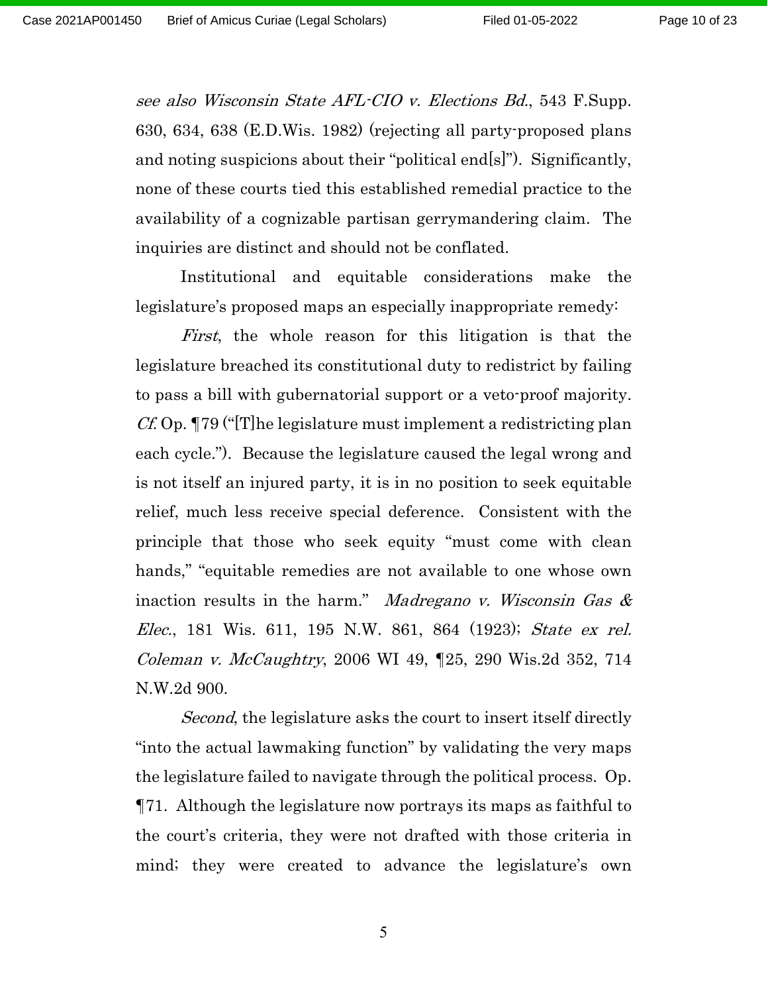see also Wisconsin State AFL-CIO v. Elections Bd., 543 F.Supp. 630, 634, 638 (E.D.Wis. 1982) (rejecting all party-proposed plans and noting suspicions about their "political end[s]"). Significantly, none of these courts tied this established remedial practice to the availability of a cognizable partisan gerrymandering claim. The inquiries are distinct and should not be conflated.

Institutional and equitable considerations make the legislature's proposed maps an especially inappropriate remedy:

First, the whole reason for this litigation is that the legislature breached its constitutional duty to redistrict by failing to pass a bill with gubernatorial support or a veto-proof majority.  $Cf$ . Op.  $\P$ 79 ("The legislature must implement a redistricting plan each cycle."). Because the legislature caused the legal wrong and is not itself an injured party, it is in no position to seek equitable relief, much less receive special deference. Consistent with the principle that those who seek equity "must come with clean hands," "equitable remedies are not available to one whose own inaction results in the harm." *Madregano v. Wisconsin Gas*  $\&$ Elec., 181 Wis. 611, 195 N.W. 861, 864 (1923); State ex rel. Coleman v. McCaughtry, 2006 WI 49, ¶25, 290 Wis.2d 352, 714 N.W.2d 900.

Second, the legislature asks the court to insert itself directly "into the actual lawmaking function" by validating the very maps the legislature failed to navigate through the political process. Op. ¶71. Although the legislature now portrays its maps as faithful to the court's criteria, they were not drafted with those criteria in mind; they were created to advance the legislature's own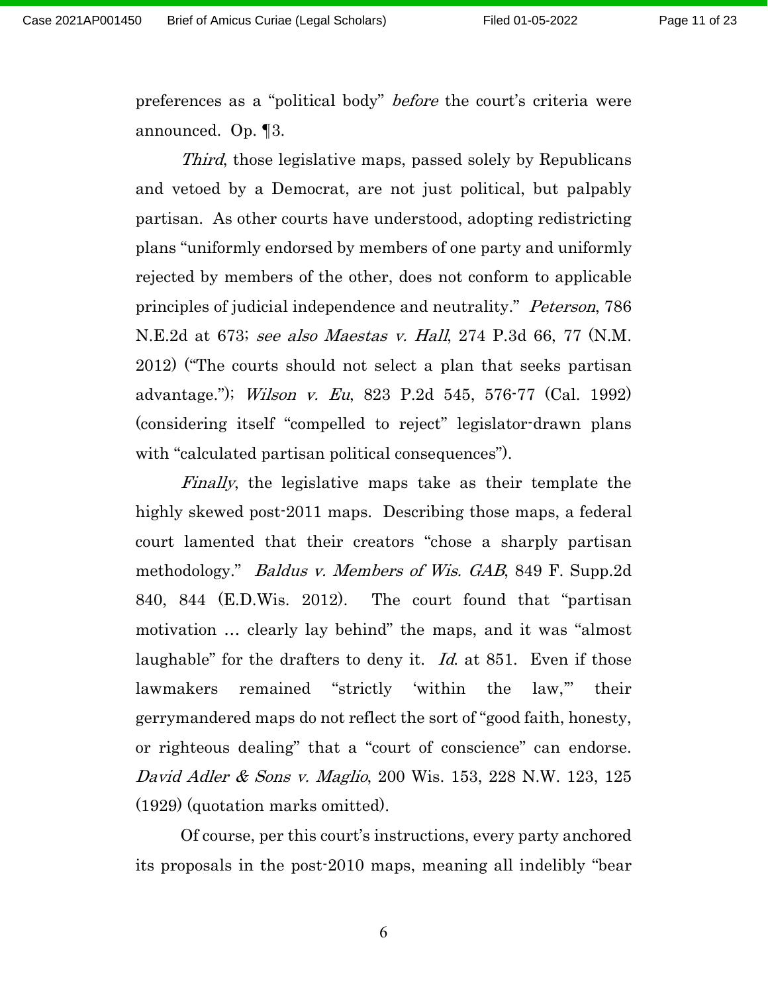preferences as a "political body" before the court's criteria were announced. Op. ¶3.

Third, those legislative maps, passed solely by Republicans and vetoed by a Democrat, are not just political, but palpably partisan. As other courts have understood, adopting redistricting plans "uniformly endorsed by members of one party and uniformly rejected by members of the other, does not conform to applicable principles of judicial independence and neutrality." Peterson, 786 N.E. 2d at 673; see also Maestas v. Hall, 274 P. 3d 66, 77 (N.M.) 2012) ("The courts should not select a plan that seeks partisan advantage."); Wilson v. Eu, 823 P.2d 545, 576-77 (Cal. 1992) (considering itself "compelled to reject" legislator-drawn plans with "calculated partisan political consequences").

Finally, the legislative maps take as their template the highly skewed post-2011 maps. Describing those maps, a federal court lamented that their creators "chose a sharply partisan methodology." *Baldus v. Members of Wis. GAB*, 849 F. Supp.2d 840, 844 (E.D.Wis. 2012). The court found that "partisan motivation … clearly lay behind" the maps, and it was "almost laughable" for the drafters to deny it. Id. at 851. Even if those lawmakers remained "strictly 'within the law,'" their gerrymandered maps do not reflect the sort of "good faith, honesty, or righteous dealing" that a "court of conscience" can endorse. David Adler & Sons v. Maglio, 200 Wis. 153, 228 N.W. 123, 125 (1929) (quotation marks omitted).

Of course, per this court's instructions, every party anchored its proposals in the post-2010 maps, meaning all indelibly "bear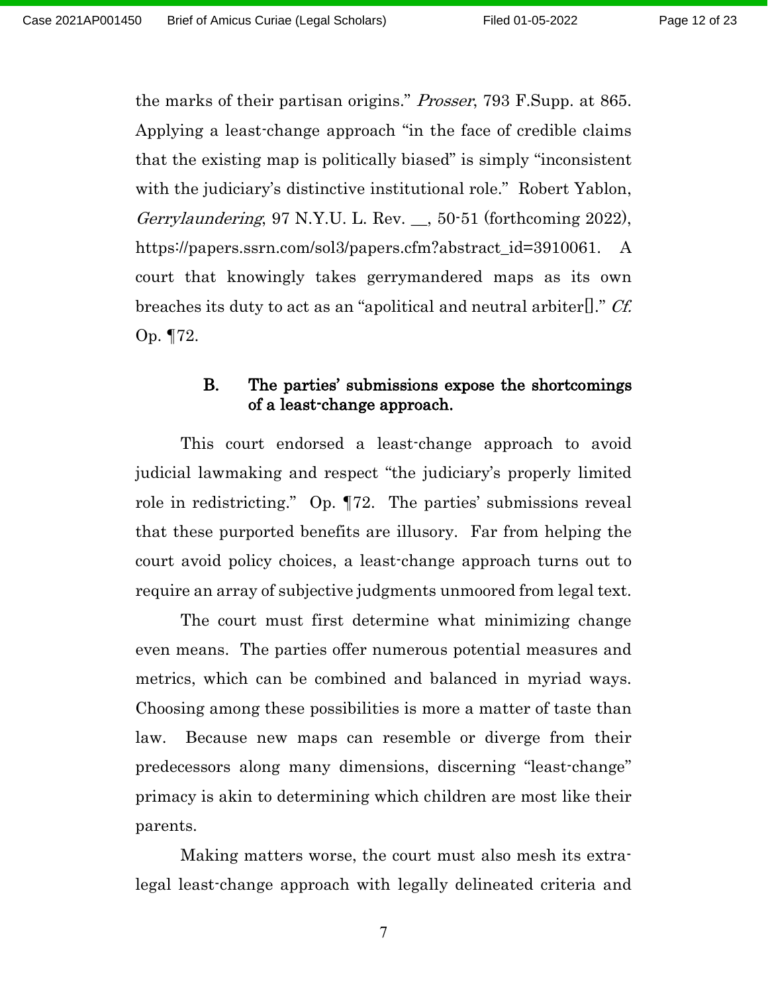the marks of their partisan origins." Prosser, 793 F.Supp. at 865. Applying a least-change approach "in the face of credible claims that the existing map is politically biased" is simply "inconsistent with the judiciary's distinctive institutional role." Robert Yablon, Gerrylaundering, 97 N.Y.U. L. Rev. \_\_, 50-51 (forthcoming 2022), https://papers.ssrn.com/sol3/papers.cfm?abstract\_id=3910061. A court that knowingly takes gerrymandered maps as its own breaches its duty to act as an "apolitical and neutral arbiter[]." Cf. Op. ¶72.

## B. The parties' submissions expose the shortcomings of a least-change approach.

This court endorsed a least-change approach to avoid judicial lawmaking and respect "the judiciary's properly limited role in redistricting." Op. ¶72. The parties' submissions reveal that these purported benefits are illusory. Far from helping the court avoid policy choices, a least-change approach turns out to require an array of subjective judgments unmoored from legal text.

The court must first determine what minimizing change even means. The parties offer numerous potential measures and metrics, which can be combined and balanced in myriad ways. Choosing among these possibilities is more a matter of taste than law. Because new maps can resemble or diverge from their predecessors along many dimensions, discerning "least-change" primacy is akin to determining which children are most like their parents.

Making matters worse, the court must also mesh its extralegal least-change approach with legally delineated criteria and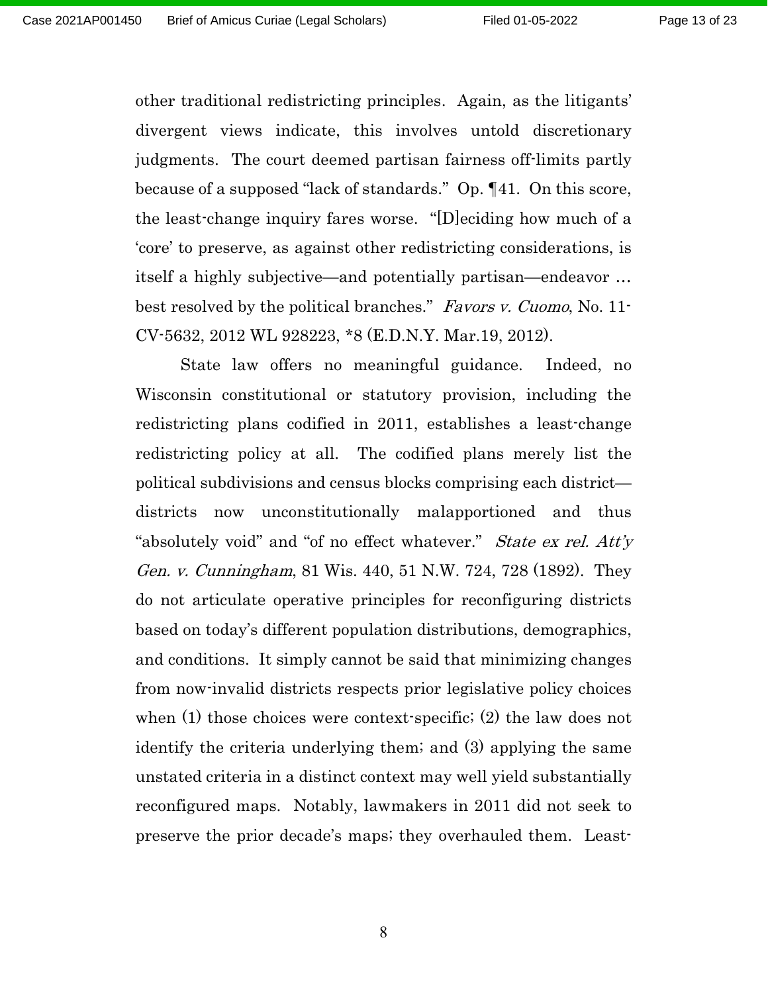other traditional redistricting principles. Again, as the litigants' divergent views indicate, this involves untold discretionary judgments. The court deemed partisan fairness off-limits partly because of a supposed "lack of standards." Op. ¶41. On this score, the least-change inquiry fares worse. "[D]eciding how much of a 'core' to preserve, as against other redistricting considerations, is itself a highly subjective—and potentially partisan—endeavor … best resolved by the political branches." Favors v. Cuomo, No. 11-CV-5632, 2012 WL 928223, \*8 (E.D.N.Y. Mar.19, 2012).

State law offers no meaningful guidance. Indeed, no Wisconsin constitutional or statutory provision, including the redistricting plans codified in 2011, establishes a least-change redistricting policy at all. The codified plans merely list the political subdivisions and census blocks comprising each district districts now unconstitutionally malapportioned and thus "absolutely void" and "of no effect whatever." *State ex rel. Att'y* Gen. v. Cunningham, 81 Wis. 440, 51 N.W. 724, 728 (1892). They do not articulate operative principles for reconfiguring districts based on today's different population distributions, demographics, and conditions. It simply cannot be said that minimizing changes from now-invalid districts respects prior legislative policy choices when (1) those choices were context-specific; (2) the law does not identify the criteria underlying them; and (3) applying the same unstated criteria in a distinct context may well yield substantially reconfigured maps. Notably, lawmakers in 2011 did not seek to preserve the prior decade's maps; they overhauled them. Least-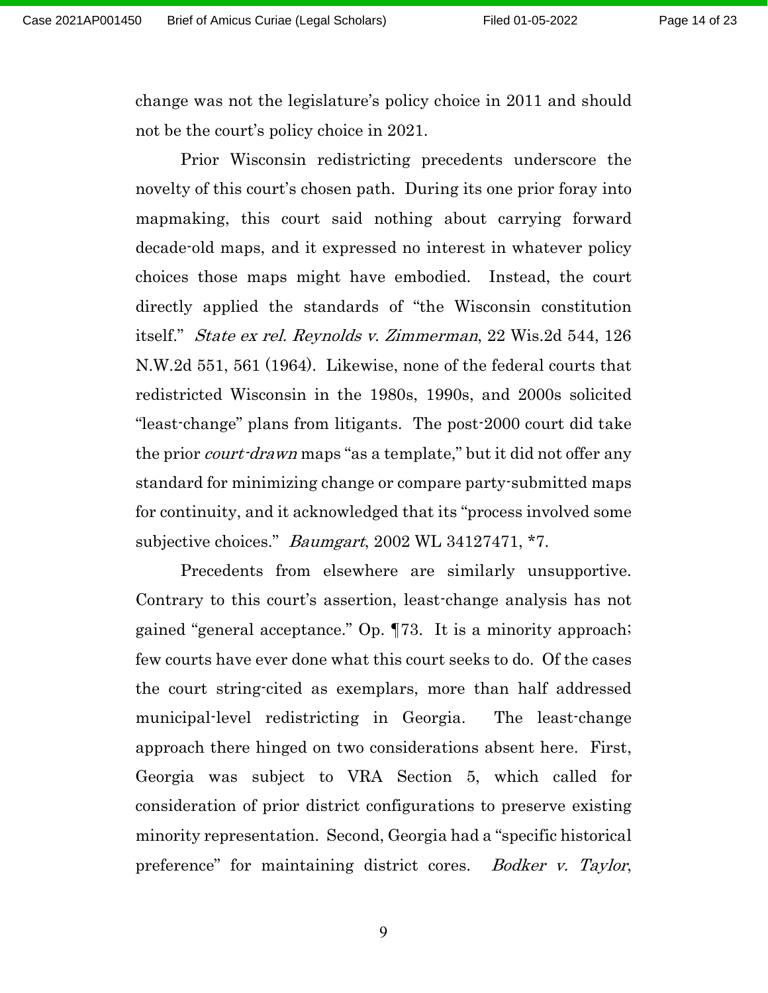change was not the legislature's policy choice in 2011 and should not be the court's policy choice in 2021.

Prior Wisconsin redistricting precedents underscore the novelty of this court's chosen path. During its one prior foray into mapmaking, this court said nothing about carrying forward decade-old maps, and it expressed no interest in whatever policy choices those maps might have embodied. Instead, the court directly applied the standards of "the Wisconsin constitution itself." State ex rel. Reynolds v. Zimmerman, 22 Wis.2d 544, 126 N.W.2d 551, 561 (1964). Likewise, none of the federal courts that redistricted Wisconsin in the 1980s, 1990s, and 2000s solicited "least-change" plans from litigants. The post-2000 court did take the prior *court-drawn* maps "as a template," but it did not offer any standard for minimizing change or compare party-submitted maps for continuity, and it acknowledged that its "process involved some subjective choices." *Baumgart*,  $2002 \text{ WL } 34127471$ ,  $*7$ .

Precedents from elsewhere are similarly unsupportive. Contrary to this court's assertion, least-change analysis has not gained "general acceptance." Op. ¶73. It is a minority approach; few courts have ever done what this court seeks to do. Of the cases the court string-cited as exemplars, more than half addressed municipal-level redistricting in Georgia. The least-change approach there hinged on two considerations absent here. First, Georgia was subject to VRA Section 5, which called for consideration of prior district configurations to preserve existing minority representation. Second, Georgia had a "specific historical preference" for maintaining district cores. Bodker v. Taylor,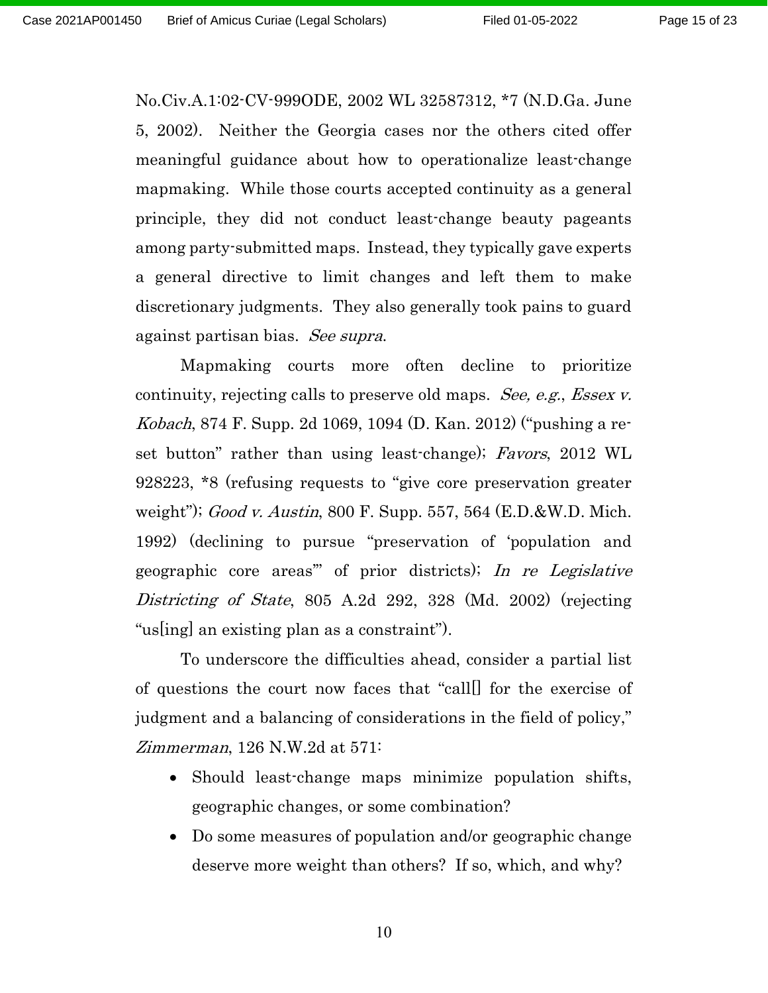No.Civ.A.1:02-CV-999ODE, 2002 WL 32587312, \*7 (N.D.Ga. June 5, 2002). Neither the Georgia cases nor the others cited offer meaningful guidance about how to operationalize least-change mapmaking. While those courts accepted continuity as a general principle, they did not conduct least-change beauty pageants among party-submitted maps. Instead, they typically gave experts a general directive to limit changes and left them to make discretionary judgments. They also generally took pains to guard against partisan bias. See supra.

Mapmaking courts more often decline to prioritize continuity, rejecting calls to preserve old maps. See, e.g., Essex v. Kobach, 874 F. Supp. 2d 1069, 1094 (D. Kan. 2012) ("pushing a reset button" rather than using least-change); Favors, 2012 WL 928223, \*8 (refusing requests to "give core preservation greater weight"); Good v. Austin, 800 F. Supp. 557, 564  $(E.D. \& W.D.$  Mich. 1992) (declining to pursue "preservation of 'population and geographic core areas'" of prior districts); In re Legislative Districting of State, 805 A.2d 292, 328 (Md. 2002) (rejecting "us[ing] an existing plan as a constraint").

To underscore the difficulties ahead, consider a partial list of questions the court now faces that "call[] for the exercise of judgment and a balancing of considerations in the field of policy," Zimmerman, 126 N.W.2d at 571:

- Should least-change maps minimize population shifts, geographic changes, or some combination?
- Do some measures of population and/or geographic change deserve more weight than others? If so, which, and why?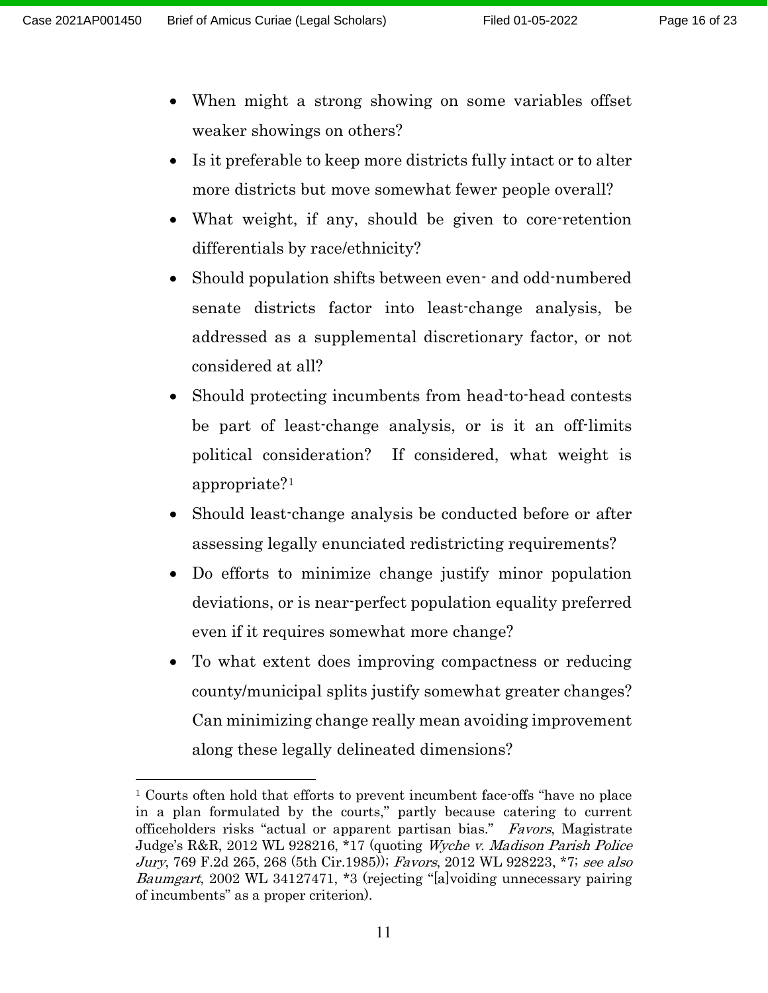- When might a strong showing on some variables offset weaker showings on others?
- Is it preferable to keep more districts fully intact or to alter more districts but move somewhat fewer people overall?
- What weight, if any, should be given to core-retention differentials by race/ethnicity?
- Should population shifts between even- and odd-numbered senate districts factor into least-change analysis, be addressed as a supplemental discretionary factor, or not considered at all?
- Should protecting incumbents from head-to-head contests be part of least-change analysis, or is it an off-limits political consideration? If considered, what weight is appropriate?[1](#page-15-0)
- Should least-change analysis be conducted before or after assessing legally enunciated redistricting requirements?
- Do efforts to minimize change justify minor population deviations, or is near-perfect population equality preferred even if it requires somewhat more change?
- To what extent does improving compactness or reducing county/municipal splits justify somewhat greater changes? Can minimizing change really mean avoiding improvement along these legally delineated dimensions?

<span id="page-15-0"></span><sup>1</sup> Courts often hold that efforts to prevent incumbent face-offs "have no place in a plan formulated by the courts," partly because catering to current officeholders risks "actual or apparent partisan bias." Favors, Magistrate Judge's R&R, 2012 WL 928216, \*17 (quoting Wyche v. Madison Parish Police Jury, 769 F.2d 265, 268 (5th Cir.1985)); Favors, 2012 WL 928223, \*7; see also Baumgart, 2002 WL 34127471, \*3 (rejecting "[a]voiding unnecessary pairing of incumbents" as a proper criterion).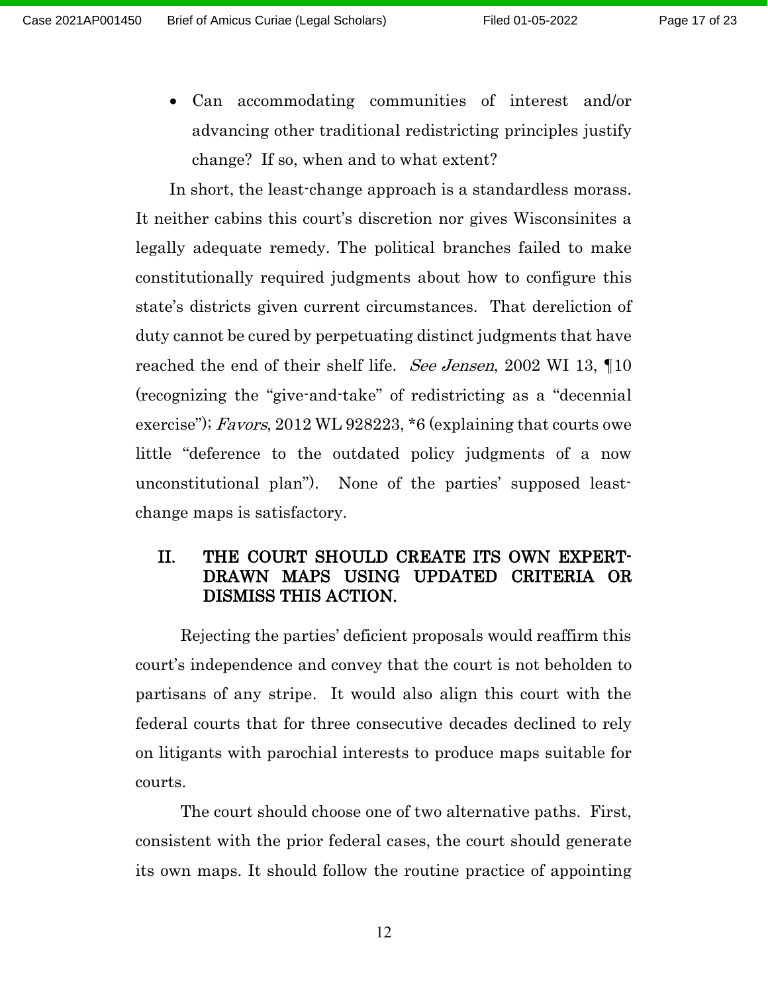• Can accommodating communities of interest and/or advancing other traditional redistricting principles justify change? If so, when and to what extent?

In short, the least-change approach is a standardless morass. It neither cabins this court's discretion nor gives Wisconsinites a legally adequate remedy. The political branches failed to make constitutionally required judgments about how to configure this state's districts given current circumstances. That dereliction of duty cannot be cured by perpetuating distinct judgments that have reached the end of their shelf life. See Jensen, 2002 WI 13, 10 (recognizing the "give-and-take" of redistricting as a "decennial exercise"); Favors, 2012 WL 928223,  $*6$  (explaining that courts owe little "deference to the outdated policy judgments of a now unconstitutional plan"). None of the parties' supposed leastchange maps is satisfactory.

## II. THE COURT SHOULD CREATE ITS OWN EXPERT-DRAWN MAPS USING UPDATED CRITERIA OR DISMISS THIS ACTION.

Rejecting the parties' deficient proposals would reaffirm this court's independence and convey that the court is not beholden to partisans of any stripe. It would also align this court with the federal courts that for three consecutive decades declined to rely on litigants with parochial interests to produce maps suitable for courts.

The court should choose one of two alternative paths. First, consistent with the prior federal cases, the court should generate its own maps. It should follow the routine practice of appointing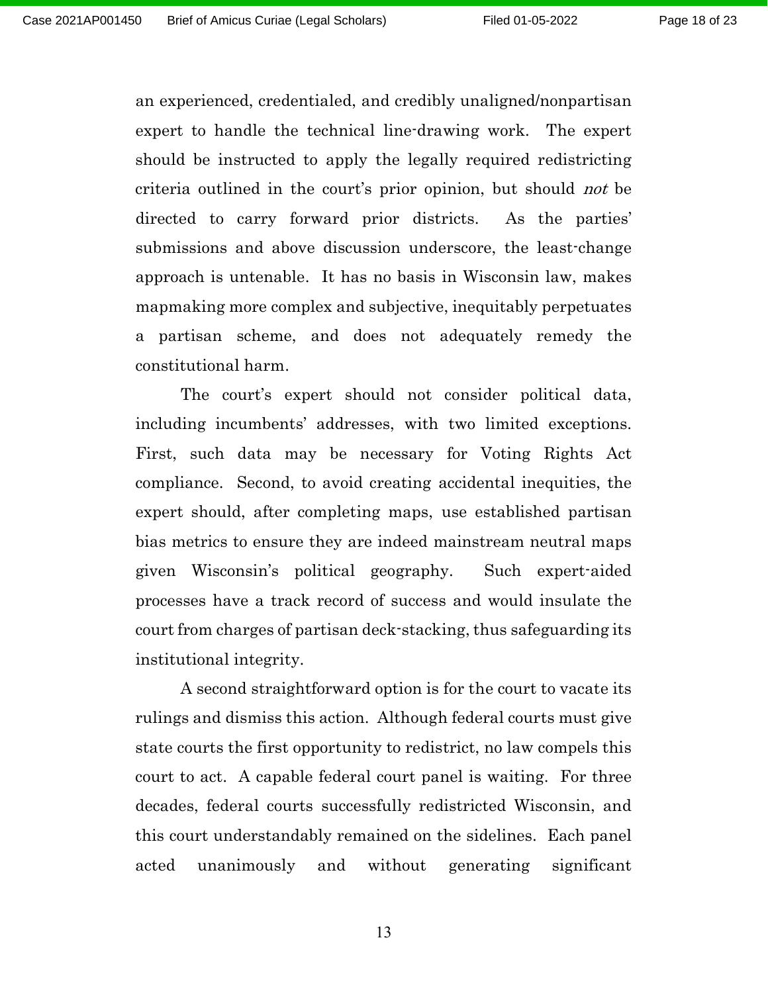an experienced, credentialed, and credibly unaligned/nonpartisan expert to handle the technical line-drawing work. The expert should be instructed to apply the legally required redistricting criteria outlined in the court's prior opinion, but should not be directed to carry forward prior districts. As the parties' submissions and above discussion underscore, the least-change approach is untenable. It has no basis in Wisconsin law, makes mapmaking more complex and subjective, inequitably perpetuates a partisan scheme, and does not adequately remedy the constitutional harm.

The court's expert should not consider political data, including incumbents' addresses, with two limited exceptions. First, such data may be necessary for Voting Rights Act compliance. Second, to avoid creating accidental inequities, the expert should, after completing maps, use established partisan bias metrics to ensure they are indeed mainstream neutral maps given Wisconsin's political geography. Such expert-aided processes have a track record of success and would insulate the court from charges of partisan deck-stacking, thus safeguarding its institutional integrity.

A second straightforward option is for the court to vacate its rulings and dismiss this action. Although federal courts must give state courts the first opportunity to redistrict, no law compels this court to act. A capable federal court panel is waiting. For three decades, federal courts successfully redistricted Wisconsin, and this court understandably remained on the sidelines. Each panel acted unanimously and without generating significant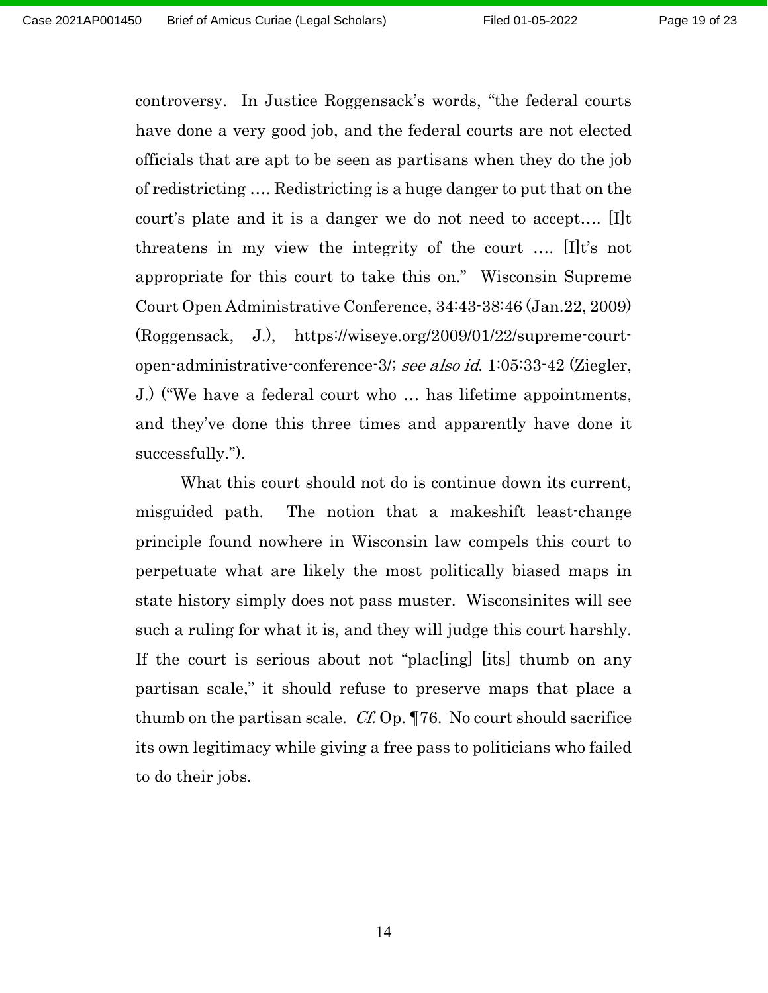controversy. In Justice Roggensack's words, "the federal courts have done a very good job, and the federal courts are not elected officials that are apt to be seen as partisans when they do the job of redistricting …. Redistricting is a huge danger to put that on the court's plate and it is a danger we do not need to accept…. [I]t threatens in my view the integrity of the court …. [I]t's not appropriate for this court to take this on." Wisconsin Supreme Court Open Administrative Conference, 34:43-38:46 (Jan.22, 2009) (Roggensack, J.), https://wiseye.org/2009/01/22/supreme-courtopen-administrative-conference-3/; see also id. 1:05:33-42 (Ziegler, J.) ("We have a federal court who … has lifetime appointments, and they've done this three times and apparently have done it successfully.").

What this court should not do is continue down its current, misguided path. The notion that a makeshift least-change principle found nowhere in Wisconsin law compels this court to perpetuate what are likely the most politically biased maps in state history simply does not pass muster. Wisconsinites will see such a ruling for what it is, and they will judge this court harshly. If the court is serious about not "plac[ing] [its] thumb on any partisan scale," it should refuse to preserve maps that place a thumb on the partisan scale. Cf. Op. ¶76. No court should sacrifice its own legitimacy while giving a free pass to politicians who failed to do their jobs.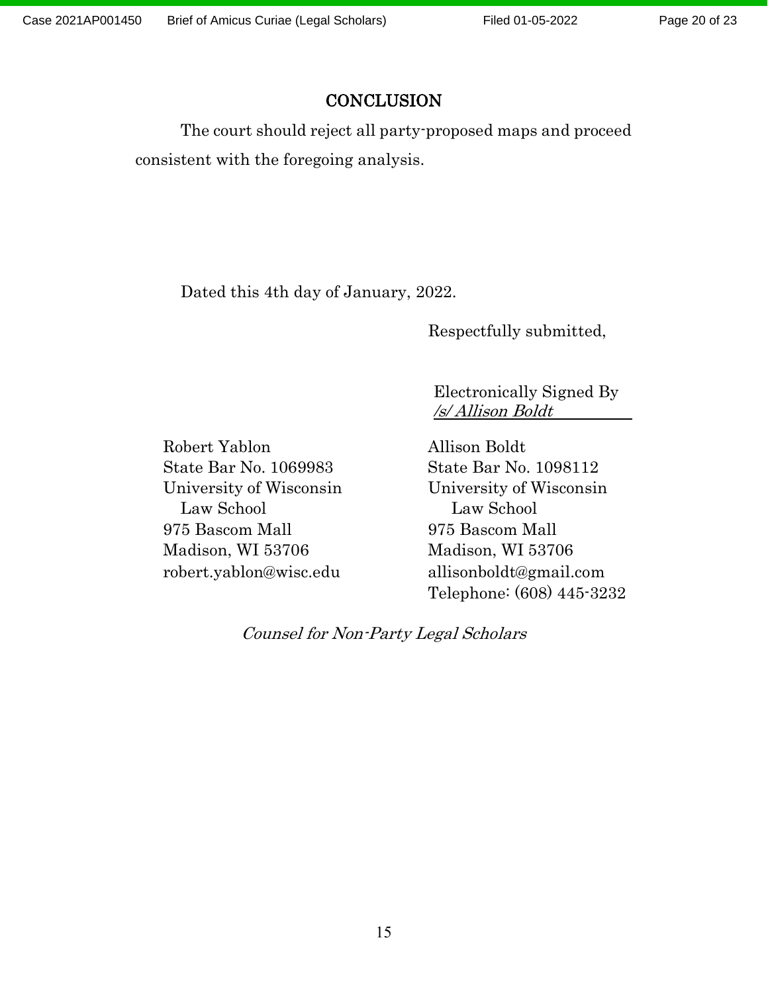# **CONCLUSION**

The court should reject all party-proposed maps and proceed consistent with the foregoing analysis.

Dated this 4th day of January, 2022.

Respectfully submitted,

 Electronically Signed By /s/ Allison Boldt

Robert Yablon Allison Boldt State Bar No. 1069983 State Bar No. 1098112 University of Wisconsin University of Wisconsin Law School Law School 975 Bascom Mall 975 Bascom Mall Madison, WI 53706 Madison, WI 53706 robert.yablon@wisc.edu allisonboldt@gmail.com

Telephone: (608) 445-3232

Counsel for Non-Party Legal Scholars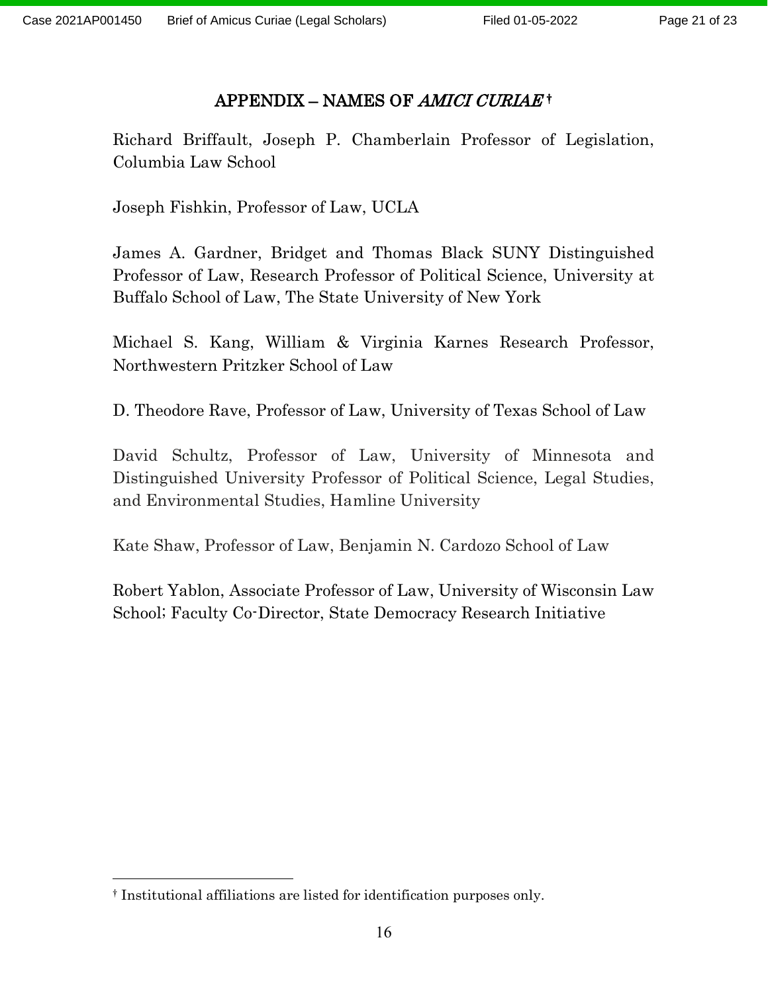# APPENDIX – NAMES OF *AMICI CURIAE* [†](#page-20-0)

Richard Briffault, Joseph P. Chamberlain Professor of Legislation, Columbia Law School

Joseph Fishkin, Professor of Law, UCLA

James A. Gardner, Bridget and Thomas Black SUNY Distinguished Professor of Law, Research Professor of Political Science, University at Buffalo School of Law, The State University of New York

Michael S. Kang, William & Virginia Karnes Research Professor, Northwestern Pritzker School of Law

D. Theodore Rave, Professor of Law, University of Texas School of Law

David Schultz, Professor of Law, University of Minnesota and Distinguished University Professor of Political Science, Legal Studies, and Environmental Studies, Hamline University

Kate Shaw, Professor of Law, Benjamin N. Cardozo School of Law

Robert Yablon, Associate Professor of Law, University of Wisconsin Law School; Faculty Co-Director, State Democracy Research Initiative

<span id="page-20-0"></span><sup>†</sup> Institutional affiliations are listed for identification purposes only.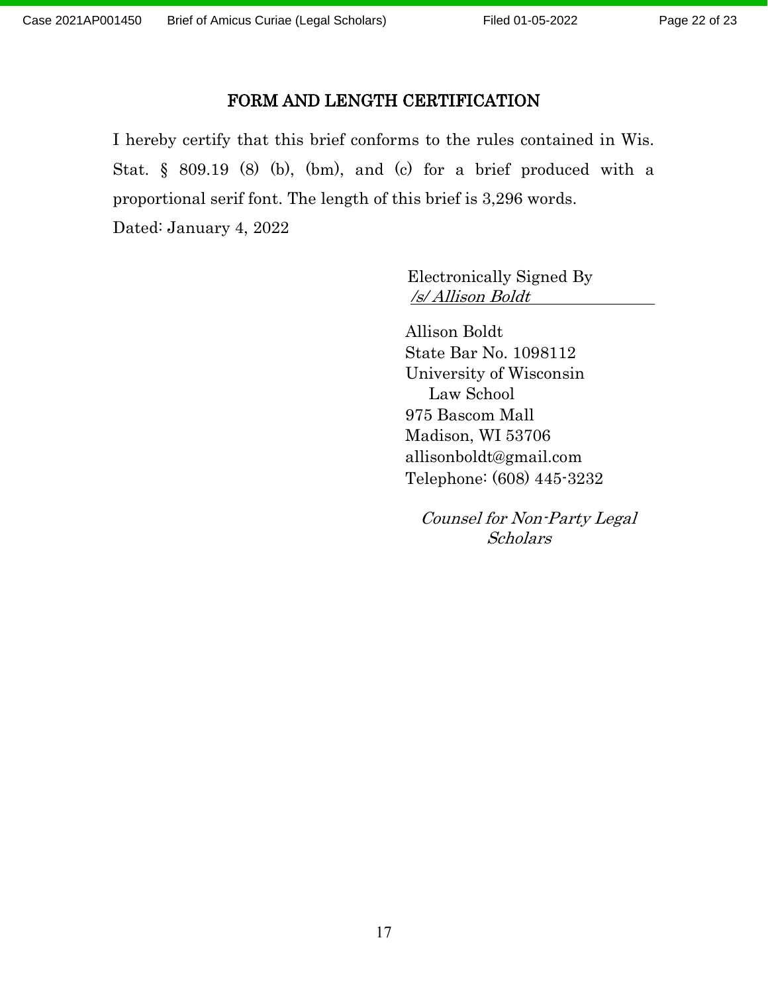Page 22 of 23

#### FORM AND LENGTH CERTIFICATION

I hereby certify that this brief conforms to the rules contained in Wis. Stat. § 809.19 (8) (b), (bm), and (c) for a brief produced with a proportional serif font. The length of this brief is 3,296 words. Dated: January 4, 2022

> Electronically Signed By /s/ Allison Boldt

Allison Boldt State Bar No. 1098112 University of Wisconsin Law School 975 Bascom Mall Madison, WI 53706 allisonboldt@gmail.com Telephone: (608) 445-3232

 Counsel for Non-Party Legal Scholars